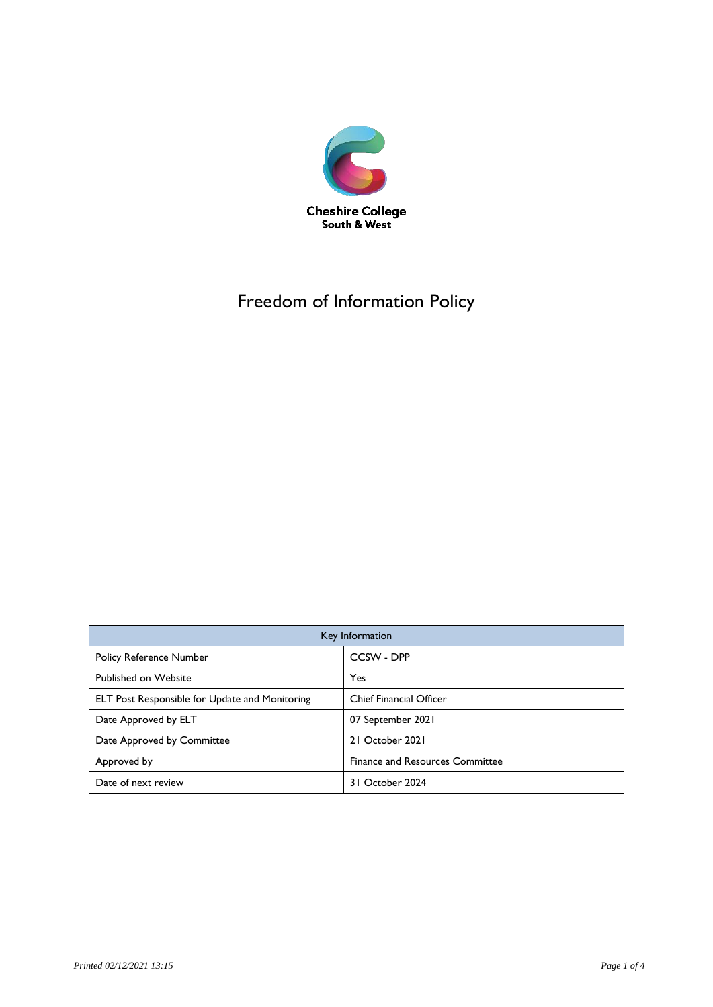

# Freedom of Information Policy

| Key Information                                |                                        |
|------------------------------------------------|----------------------------------------|
| <b>Policy Reference Number</b>                 | CCSW - DPP                             |
| Published on Website                           | Yes                                    |
| ELT Post Responsible for Update and Monitoring | <b>Chief Financial Officer</b>         |
| Date Approved by ELT                           | 07 September 2021                      |
| Date Approved by Committee                     | 21 October 2021                        |
| Approved by                                    | <b>Finance and Resources Committee</b> |
| Date of next review                            | 31 October 2024                        |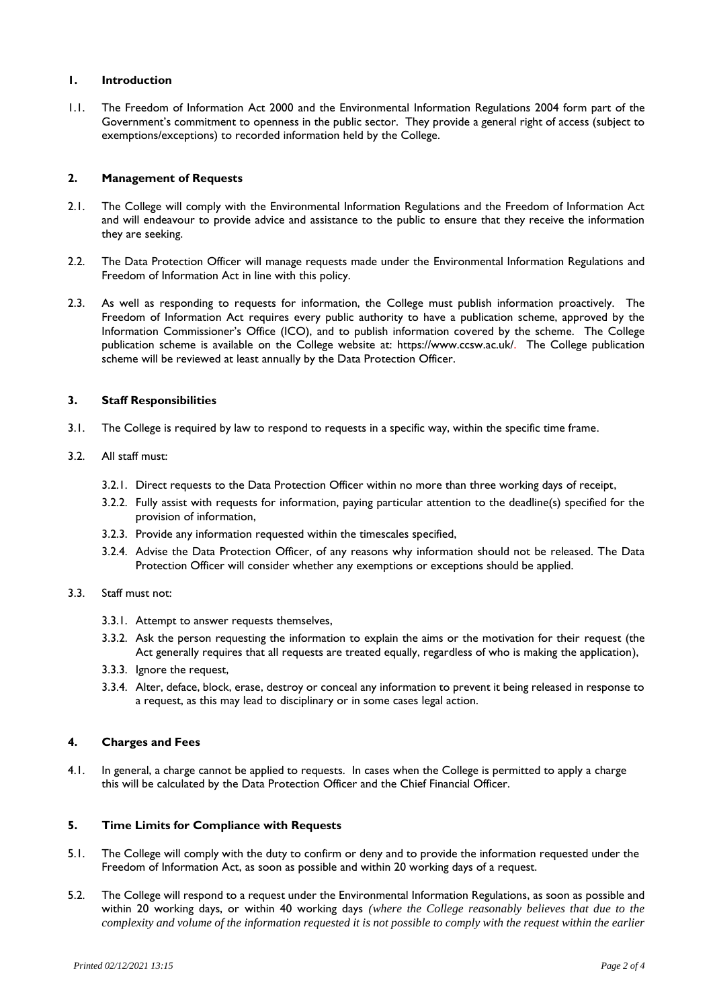#### **1. Introduction**

1.1. The Freedom of Information Act 2000 and the Environmental Information Regulations 2004 form part of the Government's commitment to openness in the public sector. They provide a general right of access (subject to exemptions/exceptions) to recorded information held by the College.

# **2. Management of Requests**

- 2.1. The College will comply with the Environmental Information Regulations and the Freedom of Information Act and will endeavour to provide advice and assistance to the public to ensure that they receive the information they are seeking.
- 2.2. The Data Protection Officer will manage requests made under the Environmental Information Regulations and Freedom of Information Act in line with this policy.
- 2.3. As well as responding to requests for information, the College must publish information proactively. The Freedom of Information Act requires every public authority to have a publication scheme, approved by the Information Commissioner's Office (ICO), and to publish information covered by the scheme. The College publication scheme is available on the College website at: https://www.ccsw.ac.uk/. The College publication scheme will be reviewed at least annually by the Data Protection Officer.

### **3. Staff Responsibilities**

3.1. The College is required by law to respond to requests in a specific way, within the specific time frame.

### 3.2. All staff must:

- 3.2.1. Direct requests to the Data Protection Officer within no more than three working days of receipt,
- 3.2.2. Fully assist with requests for information, paying particular attention to the deadline(s) specified for the provision of information,
- 3.2.3. Provide any information requested within the timescales specified,
- 3.2.4. Advise the Data Protection Officer, of any reasons why information should not be released. The Data Protection Officer will consider whether any exemptions or exceptions should be applied.

#### 3.3. Staff must not:

- 3.3.1. Attempt to answer requests themselves,
- 3.3.2. Ask the person requesting the information to explain the aims or the motivation for their request (the Act generally requires that all requests are treated equally, regardless of who is making the application),
- 3.3.3. Ignore the request,
- 3.3.4. Alter, deface, block, erase, destroy or conceal any information to prevent it being released in response to a request, as this may lead to disciplinary or in some cases legal action.

# **4. Charges and Fees**

4.1. In general, a charge cannot be applied to requests. In cases when the College is permitted to apply a charge this will be calculated by the Data Protection Officer and the Chief Financial Officer.

# **5. Time Limits for Compliance with Requests**

- 5.1. The College will comply with the duty to confirm or deny and to provide the information requested under the Freedom of Information Act, as soon as possible and within 20 working days of a request.
- 5.2. The College will respond to a request under the Environmental Information Regulations, as soon as possible and within 20 working days, or within 40 working days *(where the College reasonably believes that due to the complexity and volume of the information requested it is not possible to comply with the request within the earlier*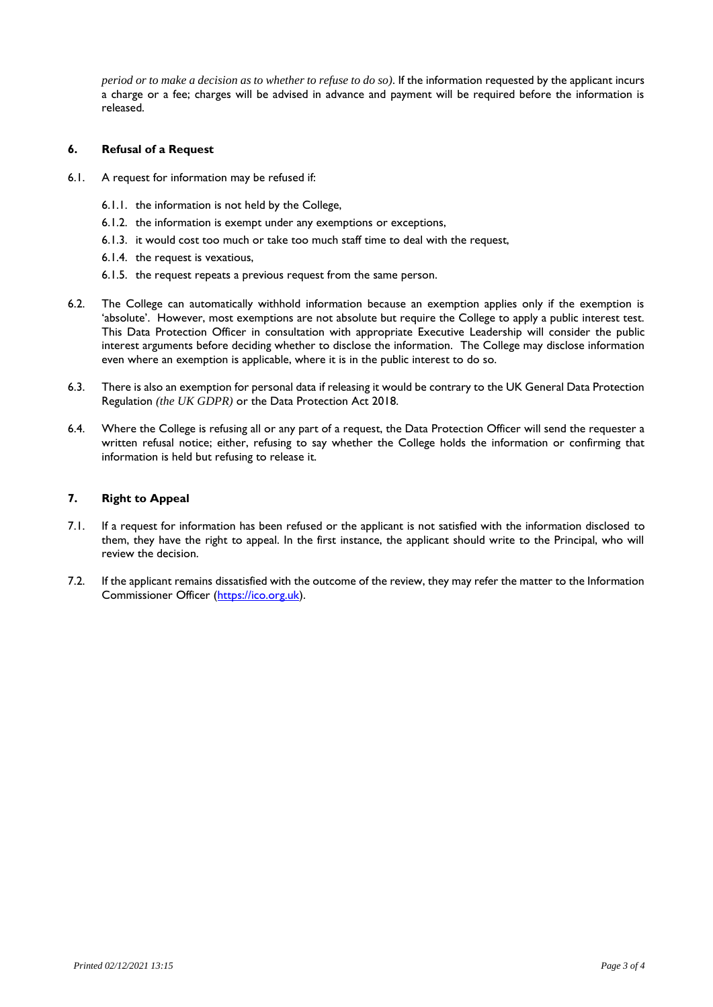*period or to make a decision as to whether to refuse to do so)*. If the information requested by the applicant incurs a charge or a fee; charges will be advised in advance and payment will be required before the information is released.

#### **6. Refusal of a Request**

- 6.1. A request for information may be refused if:
	- 6.1.1. the information is not held by the College,
	- 6.1.2. the information is exempt under any exemptions or exceptions,
	- 6.1.3. it would cost too much or take too much staff time to deal with the request,
	- 6.1.4. the request is vexatious,
	- 6.1.5. the request repeats a previous request from the same person.
- 6.2. The College can automatically withhold information because an exemption applies only if the exemption is 'absolute'. However, most exemptions are not absolute but require the College to apply a public interest test. This Data Protection Officer in consultation with appropriate Executive Leadership will consider the public interest arguments before deciding whether to disclose the information. The College may disclose information even where an exemption is applicable, where it is in the public interest to do so.
- 6.3. There is also an exemption for personal data if releasing it would be contrary to the UK General Data Protection Regulation *(the UK GDPR)* or the Data Protection Act 2018.
- 6.4. Where the College is refusing all or any part of a request, the Data Protection Officer will send the requester a written refusal notice; either, refusing to say whether the College holds the information or confirming that information is held but refusing to release it.

#### **7. Right to Appeal**

- 7.1. If a request for information has been refused or the applicant is not satisfied with the information disclosed to them, they have the right to appeal. In the first instance, the applicant should write to the Principal, who will review the decision.
- 7.2. If the applicant remains dissatisfied with the outcome of the review, they may refer the matter to the Information Commissioner Officer [\(https://ico.org.uk\)](https://ico.org.uk/).